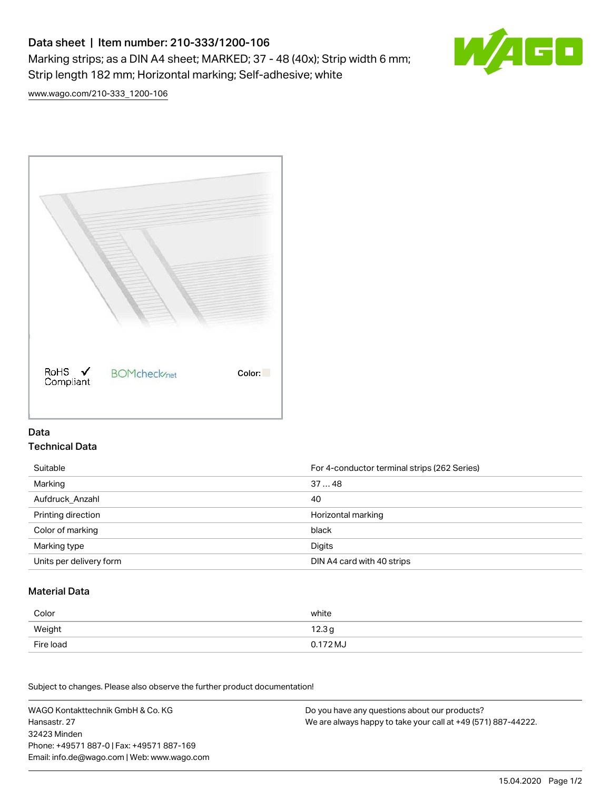# Data sheet | Item number: 210-333/1200-106 Marking strips; as a DIN A4 sheet; MARKED; 37 - 48 (40x); Strip width 6 mm; Strip length 182 mm; Horizontal marking; Self-adhesive; white



[www.wago.com/210-333\\_1200-106](http://www.wago.com/210-333_1200-106)



### Data Technical Data

| Suitable                | For 4-conductor terminal strips (262 Series) |
|-------------------------|----------------------------------------------|
| Marking                 | 3748                                         |
| Aufdruck Anzahl         | 40                                           |
| Printing direction      | Horizontal marking                           |
| Color of marking        | black                                        |
| Marking type            | Digits                                       |
| Units per delivery form | DIN A4 card with 40 strips                   |

#### Material Data

| Color     | white             |
|-----------|-------------------|
| Weight    | 12.3 <sub>g</sub> |
| Fire load | 0.172 MJ          |

Subject to changes. Please also observe the further product documentation!

WAGO Kontakttechnik GmbH & Co. KG Hansastr. 27 32423 Minden Phone: +49571 887-0 | Fax: +49571 887-169 Email: info.de@wago.com | Web: www.wago.com Do you have any questions about our products? We are always happy to take your call at +49 (571) 887-44222.